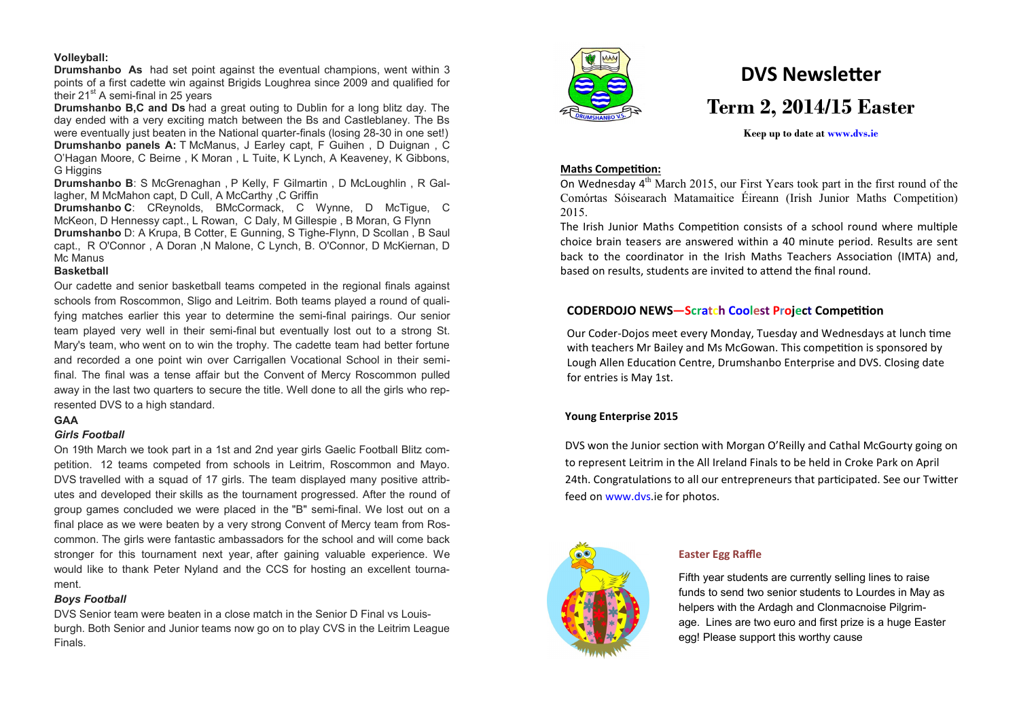# **Volleyball:**

**Drumshanbo As** had set point against the eventual champions, went within 3 points of a first cadette win against Brigids Loughrea since 2009 and qualified for their 21<sup>st</sup> A semi-final in 25 years

**Drumshanbo B,C and Ds** had a great outing to Dublin for a long blitz day. The day ended with a very exciting match between the Bs and Castleblaney. The Bs were eventually just beaten in the National quarter-finals (losing 28-30 in one set!) **Drumshanbo panels A:** T McManus, J Earley capt, F Guihen , D Duignan , C O'Hagan Moore, C Beirne , K Moran , L Tuite, K Lynch, A Keaveney, K Gibbons, **G** Higgins

**Drumshanbo B**: S McGrenaghan , P Kelly, F Gilmartin , D McLoughlin , R Gallagher, M McMahon capt, D Cull, A McCarthy ,C Griffin

**Drumshanbo C**: CReynolds, BMcCormack, C Wynne, D McTigue, C McKeon, D Hennessy capt., L Rowan, C Daly, M Gillespie , B Moran, G Flynn **Drumshanbo** D: A Krupa, B Cotter, E Gunning, S Tighe-Flynn, D Scollan , B Saul capt., R O'Connor , A Doran ,N Malone, C Lynch, B. O'Connor, D McKiernan, D Mc Manus

# **Basketball**

Our cadette and senior basketball teams competed in the regional finals against schools from Roscommon, Sligo and Leitrim. Both teams played a round of qualifying matches earlier this year to determine the semi-final pairings. Our senior team played very well in their semi-final but eventually lost out to a strong St. Mary's team, who went on to win the trophy. The cadette team had better fortune and recorded a one point win over Carrigallen Vocational School in their semifinal. The final was a tense affair but the Convent of Mercy Roscommon pulled away in the last two quarters to secure the title. Well done to all the girls who represented DVS to a high standard.

# **GAA**

# *Girls Football*

On 19th March we took part in a 1st and 2nd year girls Gaelic Football Blitz competition. 12 teams competed from schools in Leitrim, Roscommon and Mayo. DVS travelled with a squad of 17 girls. The team displayed many positive attributes and developed their skills as the tournament progressed. After the round of group games concluded we were placed in the "B" semi-final. We lost out on a final place as we were beaten by a very strong Convent of Mercy team from Roscommon. The girls were fantastic ambassadors for the school and will come back stronger for this tournament next year, after gaining valuable experience. We would like to thank Peter Nyland and the CCS for hosting an excellent tournament.

# *Boys Football*

DVS Senior team were beaten in a close match in the Senior D Final vs Louisburgh. Both Senior and Junior teams now go on to play CVS in the Leitrim League Finals.



# **DVS Newsletter Term 2, 2014/15 Easter**

# **Keep up to date at www.dvs.ie**

# **Maths Competition:**

On Wednesday  $4<sup>th</sup>$  March 2015, our First Years took part in the first round of the Comórtas Sóisearach Matamaitice Éireann (Irish Junior Maths Competition) 2015.

The Irish Junior Maths Competition consists of a school round where multiple choice brain teasers are answered within a 40 minute period. Results are sent back to the coordinator in the Irish Maths Teachers Association (IMTA) and, based on results, students are invited to attend the final round.

# **CODERDOJO NEWS—Scratch Coolest Project Competition**

Our Coder-Dojos meet every Monday, Tuesday and Wednesdays at lunch time with teachers Mr Bailey and Ms McGowan. This competition is sponsored by Lough Allen Education Centre, Drumshanbo Enterprise and DVS. Closing date for entries is May 1st.

# **Young Enterprise 2015**

DVS won the Junior section with Morgan O'Reilly and Cathal McGourty going on to represent Leitrim in the All Ireland Finals to be held in Croke Park on April 24th. Congratulations to all our entrepreneurs that participated. See our Twitter feed on www.dvs.ie for photos.



# **Easter Egg Raffle**

Fifth year students are currently selling lines to raise funds to send two senior students to Lourdes in May as helpers with the Ardagh and Clonmacnoise Pilgrimage. Lines are two euro and first prize is a huge Easter egg! Please support this worthy cause